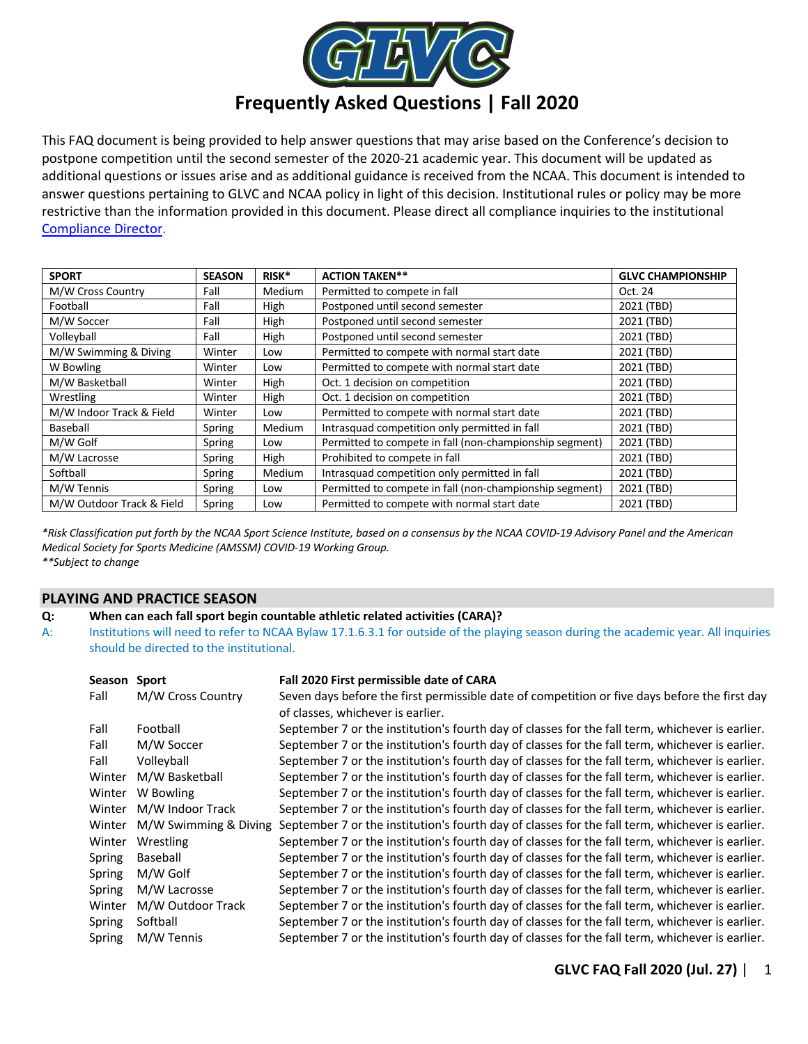

# **Frequently Asked Questions | Fall 2020**

This FAQ document is being provided to help answer questions that may arise based on the Conference's decision to postpone competition until the second semester of the 2020-21 academic year. This document will be updated as additional questions or issues arise and as additional guidance is received from the NCAA. This document is intended to answer questions pertaining to GLVC and NCAA policy in light of this decision. Institutional rules or policy may be more restrictive than the information provided in this document. Please direct all compliance inquiries to the institutional Compliance Director.

| <b>SPORT</b>              | <b>SEASON</b> | RISK*  | <b>ACTION TAKEN**</b>                                   | <b>GLVC CHAMPIONSHIP</b> |
|---------------------------|---------------|--------|---------------------------------------------------------|--------------------------|
| M/W Cross Country         | Fall          | Medium | Permitted to compete in fall                            | Oct. 24                  |
| Football                  | Fall          | High   | Postponed until second semester                         | 2021 (TBD)               |
| M/W Soccer                | Fall          | High   | Postponed until second semester                         | 2021 (TBD)               |
| Volleyball                | Fall          | High   | Postponed until second semester                         | 2021 (TBD)               |
| M/W Swimming & Diving     | Winter        | Low    | Permitted to compete with normal start date             | 2021 (TBD)               |
| W Bowling                 | Winter        | Low    | Permitted to compete with normal start date             | 2021 (TBD)               |
| M/W Basketball            | Winter        | High   | Oct. 1 decision on competition                          | 2021 (TBD)               |
| Wrestling                 | Winter        | High   | Oct. 1 decision on competition                          | 2021 (TBD)               |
| M/W Indoor Track & Field  | Winter        | Low    | Permitted to compete with normal start date             | 2021 (TBD)               |
| Baseball                  | Spring        | Medium | Intrasquad competition only permitted in fall           | 2021 (TBD)               |
| M/W Golf                  | Spring        | Low    | Permitted to compete in fall (non-championship segment) | 2021 (TBD)               |
| M/W Lacrosse              | Spring        | High   | Prohibited to compete in fall                           | 2021 (TBD)               |
| Softball                  | Spring        | Medium | Intrasquad competition only permitted in fall           | 2021 (TBD)               |
| M/W Tennis                | Spring        | Low    | Permitted to compete in fall (non-championship segment) | 2021 (TBD)               |
| M/W Outdoor Track & Field | Spring        | Low    | Permitted to compete with normal start date             | 2021 (TBD)               |

*\*Risk Classification put forth by the NCAA Sport Science Institute, based on a consensus by the NCAA COVID-19 Advisory Panel and the American Medical Society for Sports Medicine (AMSSM) COVID-19 Working Group. \*\*Subject to change*

# **PLAYING AND PRACTICE SEASON**

# **Q: When can each fall sport begin countable athletic related activities (CARA)?**

A: Institutions will need to refer to NCAA Bylaw 17.1.6.3.1 for outside of the playing season during the academic year. All inquiries should be directed to the institutional.

| Season | <b>Sport</b>          | Fall 2020 First permissible date of CARA                                                                                           |
|--------|-----------------------|------------------------------------------------------------------------------------------------------------------------------------|
| Fall   | M/W Cross Country     | Seven days before the first permissible date of competition or five days before the first day<br>of classes, whichever is earlier. |
| Fall   | Football              | September 7 or the institution's fourth day of classes for the fall term, whichever is earlier.                                    |
| Fall   | M/W Soccer            | September 7 or the institution's fourth day of classes for the fall term, whichever is earlier.                                    |
| Fall   | Volleyball            | September 7 or the institution's fourth day of classes for the fall term, whichever is earlier.                                    |
| Winter | M/W Basketball        | September 7 or the institution's fourth day of classes for the fall term, whichever is earlier.                                    |
| Winter | W Bowling             | September 7 or the institution's fourth day of classes for the fall term, whichever is earlier.                                    |
| Winter | M/W Indoor Track      | September 7 or the institution's fourth day of classes for the fall term, whichever is earlier.                                    |
| Winter | M/W Swimming & Diving | September 7 or the institution's fourth day of classes for the fall term, whichever is earlier.                                    |
| Winter | Wrestling             | September 7 or the institution's fourth day of classes for the fall term, whichever is earlier.                                    |
| Spring | Baseball              | September 7 or the institution's fourth day of classes for the fall term, whichever is earlier.                                    |
| Spring | M/W Golf              | September 7 or the institution's fourth day of classes for the fall term, whichever is earlier.                                    |
| Spring | M/W Lacrosse          | September 7 or the institution's fourth day of classes for the fall term, whichever is earlier.                                    |
| Winter | M/W Outdoor Track     | September 7 or the institution's fourth day of classes for the fall term, whichever is earlier.                                    |
| Spring | Softball              | September 7 or the institution's fourth day of classes for the fall term, whichever is earlier.                                    |
| Spring | M/W Tennis            | September 7 or the institution's fourth day of classes for the fall term, whichever is earlier.                                    |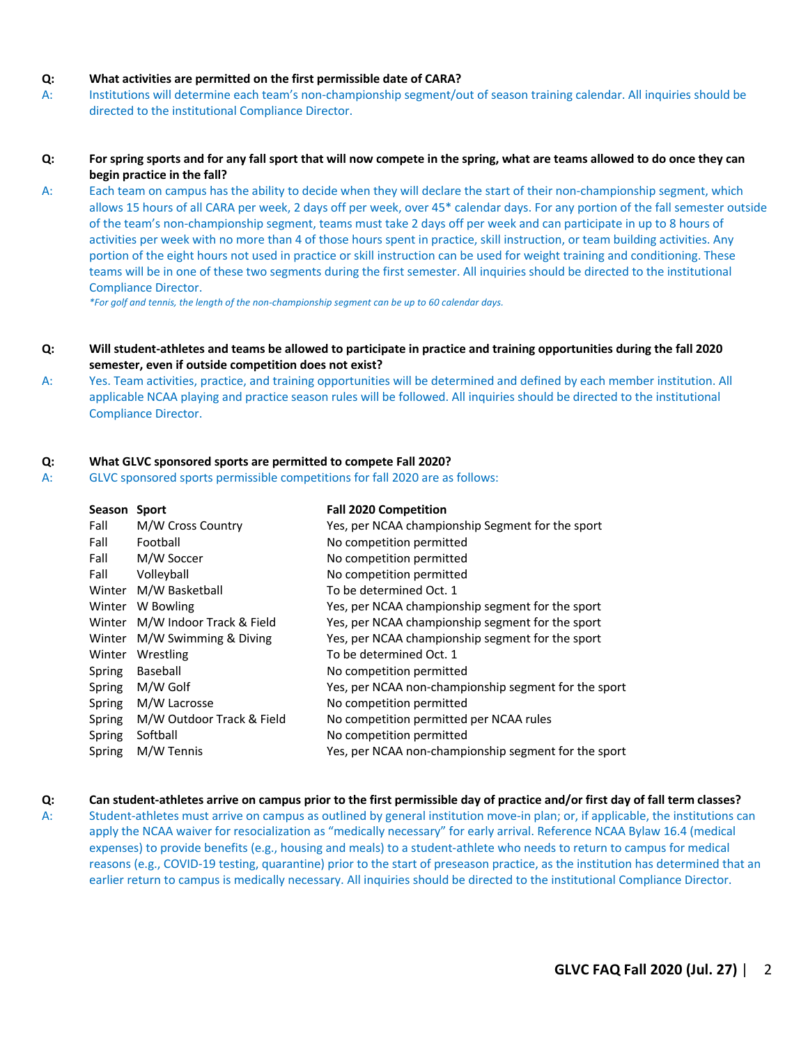#### **Q: What activities are permitted on the first permissible date of CARA?**

A: Institutions will determine each team's non-championship segment/out of season training calendar. All inquiries should be directed to the institutional Compliance Director.

#### **Q: For spring sports and for any fall sport that will now compete in the spring, what are teams allowed to do once they can begin practice in the fall?**

A: Each team on campus has the ability to decide when they will declare the start of their non-championship segment, which allows 15 hours of all CARA per week, 2 days off per week, over 45\* calendar days. For any portion of the fall semester outside of the team's non-championship segment, teams must take 2 days off per week and can participate in up to 8 hours of activities per week with no more than 4 of those hours spent in practice, skill instruction, or team building activities. Any portion of the eight hours not used in practice or skill instruction can be used for weight training and conditioning. These teams will be in one of these two segments during the first semester. All inquiries should be directed to the institutional Compliance Director.

*\*For golf and tennis, the length of the non-championship segment can be up to 60 calendar days.*

- **Q: Will student-athletes and teams be allowed to participate in practice and training opportunities during the fall 2020 semester, even if outside competition does not exist?**
- A: Yes. Team activities, practice, and training opportunities will be determined and defined by each member institution. All applicable NCAA playing and practice season rules will be followed. All inquiries should be directed to the institutional Compliance Director.

#### **Q: What GLVC sponsored sports are permitted to compete Fall 2020?**

A: GLVC sponsored sports permissible competitions for fall 2020 are as follows:

| <b>Season</b> | <b>Sport</b>              | <b>Fall 2020 Competition</b>                         |
|---------------|---------------------------|------------------------------------------------------|
| Fall          | M/W Cross Country         | Yes, per NCAA championship Segment for the sport     |
| Fall          | Football                  | No competition permitted                             |
| Fall          | M/W Soccer                | No competition permitted                             |
| Fall          | Volleyball                | No competition permitted                             |
| Winter        | M/W Basketball            | To be determined Oct. 1                              |
| Winter        | W Bowling                 | Yes, per NCAA championship segment for the sport     |
| Winter        | M/W Indoor Track & Field  | Yes, per NCAA championship segment for the sport     |
| Winter        | M/W Swimming & Diving     | Yes, per NCAA championship segment for the sport     |
| Winter        | Wrestling                 | To be determined Oct. 1                              |
| Spring        | Baseball                  | No competition permitted                             |
| Spring        | M/W Golf                  | Yes, per NCAA non-championship segment for the sport |
| Spring        | M/W Lacrosse              | No competition permitted                             |
| Spring        | M/W Outdoor Track & Field | No competition permitted per NCAA rules              |
| Spring        | Softball                  | No competition permitted                             |
| Spring        | M/W Tennis                | Yes, per NCAA non-championship segment for the sport |

#### **Q: Can student-athletes arrive on campus prior to the first permissible day of practice and/or first day of fall term classes?**

A: Student-athletes must arrive on campus as outlined by general institution move-in plan; or, if applicable, the institutions can apply the NCAA waiver for resocialization as "medically necessary" for early arrival. Reference NCAA Bylaw 16.4 (medical expenses) to provide benefits (e.g., housing and meals) to a student-athlete who needs to return to campus for medical reasons (e.g., COVID-19 testing, quarantine) prior to the start of preseason practice, as the institution has determined that an earlier return to campus is medically necessary. All inquiries should be directed to the institutional Compliance Director.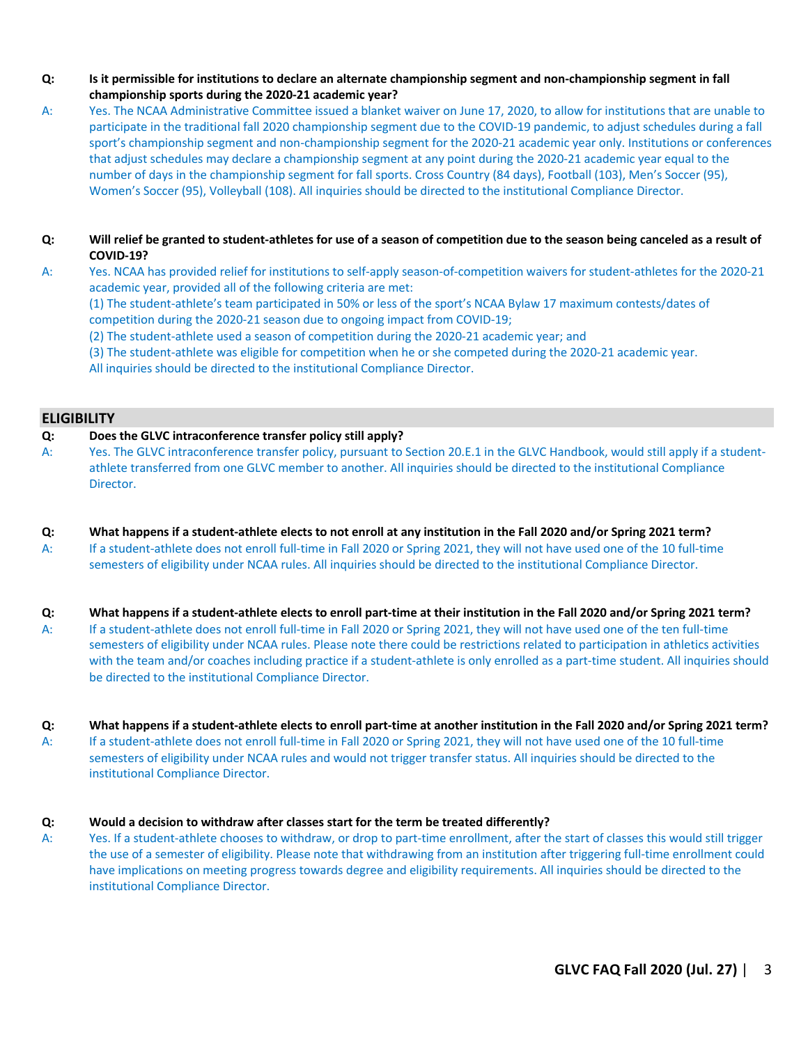- **Q: Is it permissible for institutions to declare an alternate championship segment and non-championship segment in fall championship sports during the 2020-21 academic year?**
- A: Yes. The NCAA Administrative Committee issued a blanket waiver on June 17, 2020, to allow for institutions that are unable to participate in the traditional fall 2020 championship segment due to the COVID-19 pandemic, to adjust schedules during a fall sport's championship segment and non-championship segment for the 2020-21 academic year only. Institutions or conferences that adjust schedules may declare a championship segment at any point during the 2020-21 academic year equal to the number of days in the championship segment for fall sports. Cross Country (84 days), Football (103), Men's Soccer (95), Women's Soccer (95), Volleyball (108). All inquiries should be directed to the institutional Compliance Director.
- **Q: Will relief be granted to student-athletes for use of a season of competition due to the season being canceled as a result of COVID-19?**
- A: Yes. NCAA has provided relief for institutions to self-apply season-of-competition waivers for student-athletes for the 2020-21 academic year, provided all of the following criteria are met:

(1) The student-athlete's team participated in 50% or less of the sport's NCAA Bylaw 17 maximum contests/dates of competition during the 2020-21 season due to ongoing impact from COVID-19;

- (2) The student-athlete used a season of competition during the 2020-21 academic year; and
- (3) The student-athlete was eligible for competition when he or she competed during the 2020-21 academic year.

All inquiries should be directed to the institutional Compliance Director.

# **ELIGIBILITY**

#### **Q: Does the GLVC intraconference transfer policy still apply?**

- A: Yes. The GLVC intraconference transfer policy, pursuant to Section 20.E.1 in the GLVC Handbook, would still apply if a studentathlete transferred from one GLVC member to another. All inquiries should be directed to the institutional Compliance Director.
- **Q: What happens if a student-athlete elects to not enroll at any institution in the Fall 2020 and/or Spring 2021 term?**
- A: If a student-athlete does not enroll full-time in Fall 2020 or Spring 2021, they will not have used one of the 10 full-time semesters of eligibility under NCAA rules. All inquiries should be directed to the institutional Compliance Director.
- **Q: What happens if a student-athlete elects to enroll part-time at their institution in the Fall 2020 and/or Spring 2021 term?**
- A: If a student-athlete does not enroll full-time in Fall 2020 or Spring 2021, they will not have used one of the ten full-time semesters of eligibility under NCAA rules. Please note there could be restrictions related to participation in athletics activities with the team and/or coaches including practice if a student-athlete is only enrolled as a part-time student. All inquiries should be directed to the institutional Compliance Director.

# **Q: What happens if a student-athlete elects to enroll part-time at another institution in the Fall 2020 and/or Spring 2021 term?**

A: If a student-athlete does not enroll full-time in Fall 2020 or Spring 2021, they will not have used one of the 10 full-time semesters of eligibility under NCAA rules and would not trigger transfer status. All inquiries should be directed to the institutional Compliance Director.

# **Q: Would a decision to withdraw after classes start for the term be treated differently?**

A: Yes. If a student-athlete chooses to withdraw, or drop to part-time enrollment, after the start of classes this would still trigger the use of a semester of eligibility. Please note that withdrawing from an institution after triggering full-time enrollment could have implications on meeting progress towards degree and eligibility requirements. All inquiries should be directed to the institutional Compliance Director.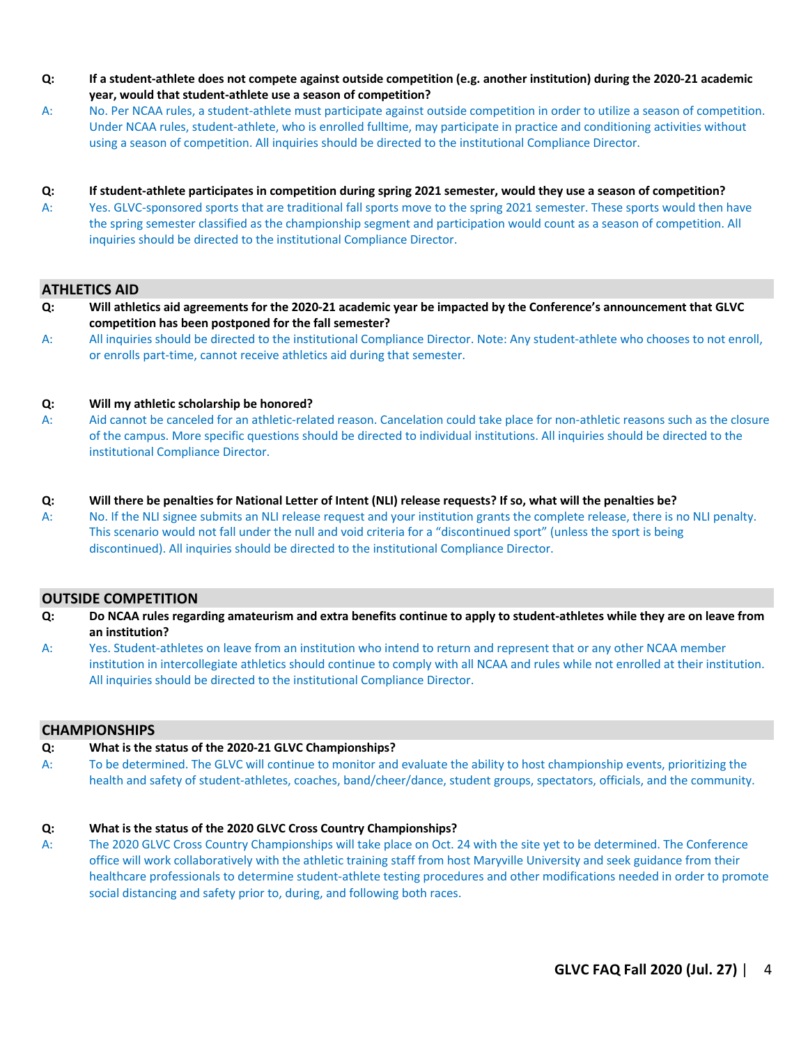- **Q: If a student-athlete does not compete against outside competition (e.g. another institution) during the 2020-21 academic year, would that student-athlete use a season of competition?**
- A: No. Per NCAA rules, a student-athlete must participate against outside competition in order to utilize a season of competition. Under NCAA rules, student-athlete, who is enrolled fulltime, may participate in practice and conditioning activities without using a season of competition. All inquiries should be directed to the institutional Compliance Director.
- **Q: If student-athlete participates in competition during spring 2021 semester, would they use a season of competition?**
- A: Yes. GLVC-sponsored sports that are traditional fall sports move to the spring 2021 semester. These sports would then have the spring semester classified as the championship segment and participation would count as a season of competition. All inquiries should be directed to the institutional Compliance Director.

# **ATHLETICS AID**

- **Q: Will athletics aid agreements for the 2020-21 academic year be impacted by the Conference's announcement that GLVC competition has been postponed for the fall semester?**
- A: All inquiries should be directed to the institutional Compliance Director. Note: Any student-athlete who chooses to not enroll, or enrolls part-time, cannot receive athletics aid during that semester.

# **Q: Will my athletic scholarship be honored?**

A: Aid cannot be canceled for an athletic-related reason. Cancelation could take place for non-athletic reasons such as the closure of the campus. More specific questions should be directed to individual institutions. All inquiries should be directed to the institutional Compliance Director.

# **Q: Will there be penalties for National Letter of Intent (NLI) release requests? If so, what will the penalties be?**

A: No. If the NLI signee submits an NLI release request and your institution grants the complete release, there is no NLI penalty. This scenario would not fall under the null and void criteria for a "discontinued sport" (unless the sport is being discontinued). All inquiries should be directed to the institutional Compliance Director.

# **OUTSIDE COMPETITION**

- **Q: Do NCAA rules regarding amateurism and extra benefits continue to apply to student-athletes while they are on leave from an institution?**
- A: Yes. Student-athletes on leave from an institution who intend to return and represent that or any other NCAA member institution in intercollegiate athletics should continue to comply with all NCAA and rules while not enrolled at their institution. All inquiries should be directed to the institutional Compliance Director.

# **CHAMPIONSHIPS**

# **Q: What is the status of the 2020-21 GLVC Championships?**

A: To be determined. The GLVC will continue to monitor and evaluate the ability to host championship events, prioritizing the health and safety of student-athletes, coaches, band/cheer/dance, student groups, spectators, officials, and the community.

# **Q: What is the status of the 2020 GLVC Cross Country Championships?**

A: The 2020 GLVC Cross Country Championships will take place on Oct. 24 with the site yet to be determined. The Conference office will work collaboratively with the athletic training staff from host Maryville University and seek guidance from their healthcare professionals to determine student-athlete testing procedures and other modifications needed in order to promote social distancing and safety prior to, during, and following both races.